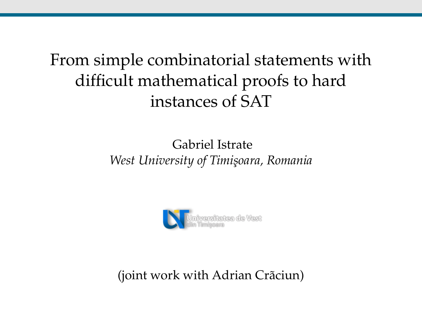# From simple combinatorial statements with difficult mathematical proofs to hard instances of SAT

#### Gabriel Istrate *West University of Timi¸soara, Romania*



(joint work with Adrian Crãciun)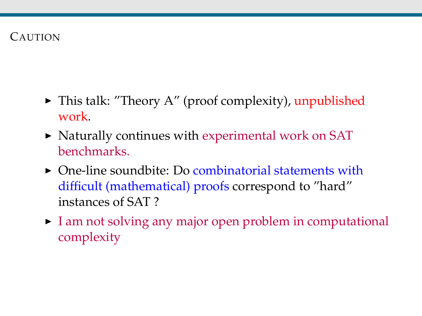#### CAUTION

- $\blacktriangleright$  This talk: "Theory A" (proof complexity), unpublished work.
- $\triangleright$  Naturally continues with experimental work on SAT benchmarks.
- $\triangleright$  One-line soundbite: Do combinatorial statements with difficult (mathematical) proofs correspond to "hard" instances of SAT ?
- $\triangleright$  I am not solving any major open problem in computational complexity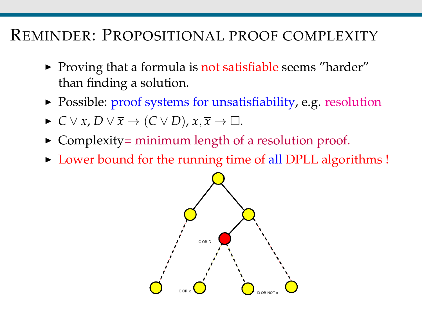## REMINDER: PROPOSITIONAL PROOF COMPLEXITY

- $\triangleright$  Proving that a formula is not satisfiable seems "harder" than finding a solution.
- Possible: proof systems for unsatisfiability, e.g. resolution
- $\triangleright$  *C* ∨ *x*, *D* ∨  $\overline{x}$  → (*C* ∨ *D*),  $x, \overline{x}$  →  $\Box$ .
- $\triangleright$  Complexity = minimum length of a resolution proof.
- In Lower bound for the running time of all DPLL algorithms !

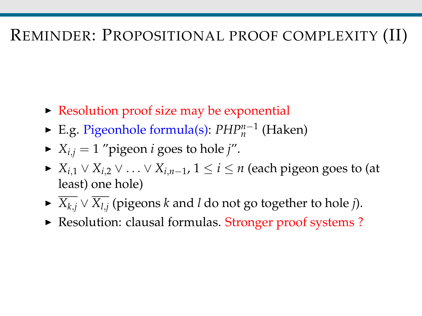## REMINDER: PROPOSITIONAL PROOF COMPLEXITY (II)

- $\triangleright$  Resolution proof size may be exponential
- <sup>I</sup> E.g. Pigeonhole formula(s): *PHPn*−<sup>1</sup> *n* (Haken)
- $\blacktriangleright$  *X*<sub>*i*,*j* = 1 "pigeon *i* goes to hole *j*".</sub>
- $\blacktriangleright$  *X*<sub>*i*,1</sub> ∨ *X*<sub>*i*,2</sub> ∨ . . . ∨ *X*<sub>*i*,*n*−1</sub>, 1 ≤ *i* ≤ *n* (each pigeon goes to (at least) one hole)
- <sup>I</sup> *Xk*,*<sup>j</sup>* ∨ *Xl*,*<sup>j</sup>* (pigeons *k* and *l* do not go together to hole *j*).
- ▶ Resolution: clausal formulas. Stronger proof systems ?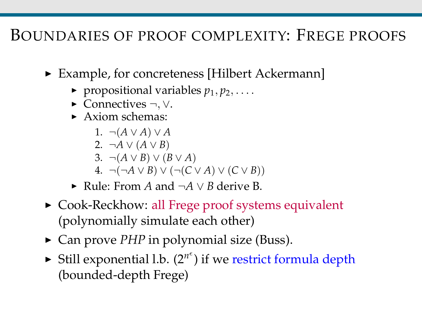### BOUNDARIES OF PROOF COMPLEXITY: FREGE PROOFS

- ► Example, for concreteness [Hilbert Ackermann]
	- $\blacktriangleright$  propositional variables  $p_1, p_2, \ldots$ .
	- $\triangleright$  Connectives  $\neg, \vee$ .
	- $\blacktriangleright$  Axiom schemas:
		- 1. ¬(*A* ∨ *A*) ∨ *A*
		- 2. ¬*A* ∨  $(A ∨ B)$
		- 3.  $\neg(A \lor B) \lor (B \lor A)$
		- 4.  $\neg(\neg A \lor B) \lor (\neg(C \lor A) \lor (C \lor B))$
	- <sup>I</sup> Rule: From *A* and ¬*A* ∨ *B* derive B.
- ► Cook-Reckhow: all Frege proof systems equivalent (polynomially simulate each other)
- ► Can prove *PHP* in polynomial size (Buss).
- $\blacktriangleright$  Still exponential l.b.  $(2^{n^e})$  if we restrict formula depth (bounded-depth Frege)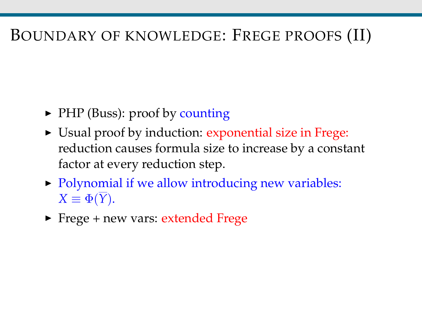## BOUNDARY OF KNOWLEDGE: FREGE PROOFS (II)

- ▶ PHP (Buss): proof by counting
- In Usual proof by induction: exponential size in Frege: reduction causes formula size to increase by a constant factor at every reduction step.
- $\triangleright$  Polynomial if we allow introducing new variables:  $X \equiv \Phi(\overline{Y})$ .
- $\blacktriangleright$  Frege + new vars: extended Frege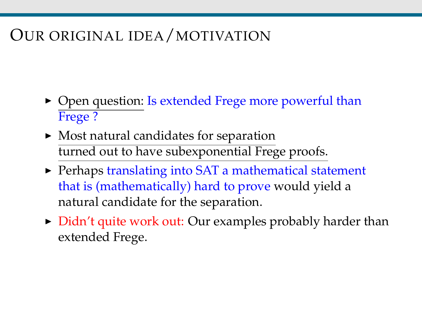# OUR ORIGINAL IDEA/MOTIVATION

- $\triangleright$  Open question: Is extended Frege more powerful than Frege ?
- $\blacktriangleright$  Most natural candidates for separation turned out to have subexponential Frege proofs.
- $\triangleright$  Perhaps translating into SAT a mathematical statement that is (mathematically) hard to prove would yield a natural candidate for the separation.
- $\triangleright$  Didn't quite work out: Our examples probably harder than extended Frege.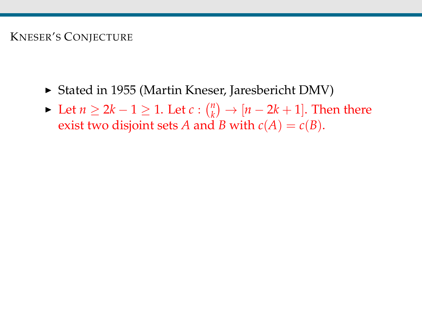#### KNESER'S CONJECTURE

- ► Stated in 1955 (Martin Kneser, Jaresbericht DMV)
- ► Let  $n \geq 2k 1 \geq 1$ . Let  $c: \binom{n}{k}$  $\binom{n}{k}$   $\rightarrow$   $\left[ n-2k+1 \right]$ . Then there exist two disjoint sets *A* and *B* with  $c(A) = c(B)$ .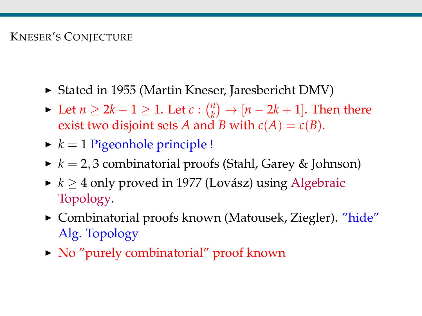#### KNESER'S CONJECTURE

- ▶ Stated in 1955 (Martin Kneser, Jaresbericht DMV)
- ► Let  $n \geq 2k 1 \geq 1$ . Let  $c: \binom{n}{k}$  $\binom{n}{k}$   $\rightarrow$   $\left[ n-2k+1 \right]$ . Then there exist two disjoint sets *A* and *B* with  $c(A) = c(B)$ .
- $\blacktriangleright k = 1$  Pigeonhole principle !
- $\blacktriangleright k = 2, 3$  combinatorial proofs (Stahl, Garey & Johnson)
- $\blacktriangleright k \geq 4$  only proved in 1977 (Lovász) using Algebraic Topology.
- ► Combinatorial proofs known (Matousek, Ziegler). "hide" Alg. Topology
- $\triangleright$  No "purely combinatorial" proof known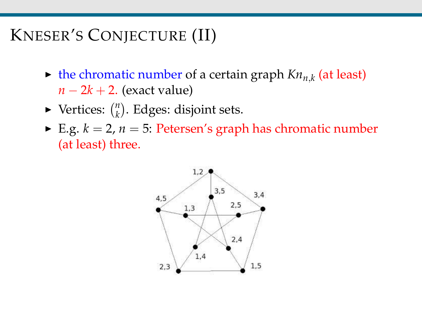# KNESER'S CONJECTURE (II)

- $\blacktriangleright$  the chromatic number of a certain graph  $Kn_{n,k}$  (at least) *n* − 2*k* + 2. (exact value)
- $\blacktriangleright$  Vertices:  $\binom{n}{k}$  $\binom{n}{k}$ . Edges: disjoint sets.
- E.g.  $k = 2$ ,  $n = 5$ : Petersen's graph has chromatic number (at least) three.

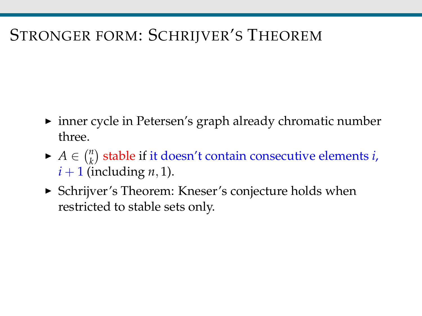# STRONGER FORM: SCHRIJVER'S THEOREM

- $\triangleright$  inner cycle in Petersen's graph already chromatic number three.
- $\blacktriangleright$  *A*  $\in \binom{n}{k}$  $\binom{n}{k}$  stable if it doesn't contain consecutive elements *i*,  $i+1$  (including *n*, 1).
- ► Schrijver's Theorem: Kneser's conjecture holds when restricted to stable sets only.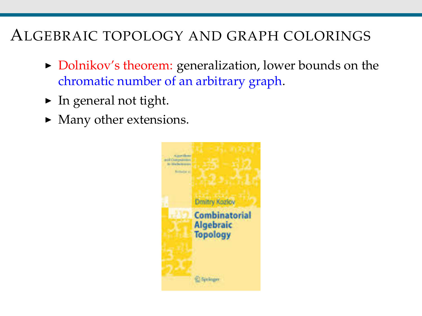## ALGEBRAIC TOPOLOGY AND GRAPH COLORINGS

- Dolnikov's theorem: generalization, lower bounds on the chromatic number of an arbitrary graph.
- $\blacktriangleright$  In general not tight.
- $\blacktriangleright$  Many other extensions.

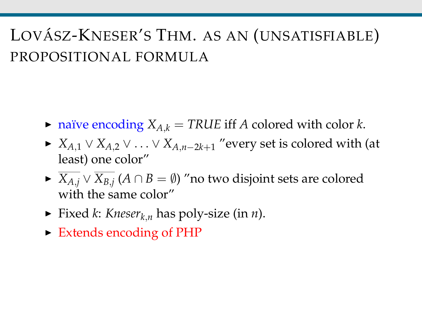# LOVÁSZ-KNESER'S THM. AS AN (UNSATISFIABLE) PROPOSITIONAL FORMULA

- $\triangleright$  naïve encoding  $X_{A,k}$  = TRUE iff *A* colored with color *k*.
- $\triangleright$  *X*<sub>*A*,1</sub> ∨ *X*<sub>*A*,2</sub> ∨ . . . ∨ *X*<sub>*A*,*n*−2*k*+1</sub> "every set is colored with (at least) one color"
- <sup>I</sup> *XA*,*<sup>j</sup>* ∨ *XB*,*<sup>j</sup>* (*A* ∩ *B* = ∅) "no two disjoint sets are colored with the same color"
- Fixed *k*: *Kneser*<sub>*k*,*n*</sub> has poly-size (in *n*).
- ► Extends encoding of PHP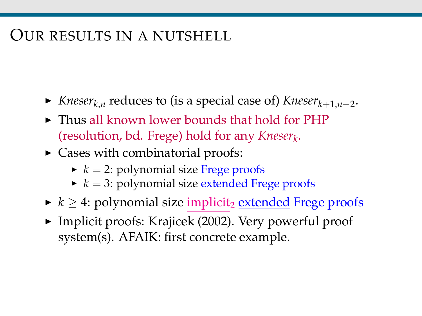## OUR RESULTS IN A NUTSHELL

- <sup>I</sup> *Kneserk*,*<sup>n</sup>* reduces to (is a special case of) *Kneserk*+1,*n*−<sup>2</sup> .
- $\triangleright$  Thus all known lower bounds that hold for PHP (resolution, bd. Frege) hold for any *Kneser<sup>k</sup>* .
- $\triangleright$  Cases with combinatorial proofs:
	- $\blacktriangleright$   $k = 2$ : polynomial size Frege proofs
	- $\blacktriangleright$   $k = 3$ : polynomial size <u>extended</u> Frege proofs
- $\blacktriangleright k \geq 4$ : polynomial size implicit<sub>2</sub> extended Frege proofs
- $\blacktriangleright$  Implicit proofs: Krajicek (2002). Very powerful proof system(s). AFAIK: first concrete example.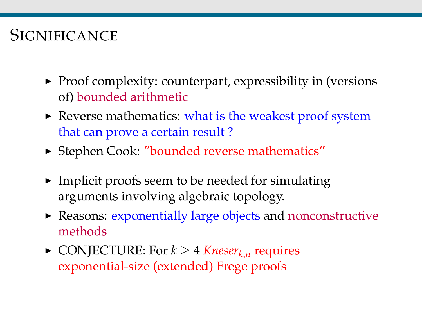# **SIGNIFICANCE**

- $\blacktriangleright$  Proof complexity: counterpart, expressibility in (versions of) bounded arithmetic
- $\blacktriangleright$  Reverse mathematics: what is the weakest proof system that can prove a certain result ?
- ► Stephen Cook: "bounded reverse mathematics"
- $\blacktriangleright$  Implicit proofs seem to be needed for simulating arguments involving algebraic topology.
- Reasons: exponentially large objects and nonconstructive methods
- ► CONJECTURE: For  $k \geq 4$  *Kneser*<sub>*k*,*n*</sub> requires exponential-size (extended) Frege proofs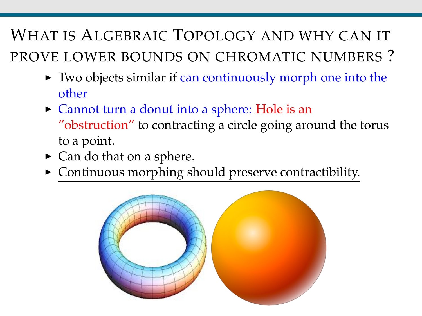WHAT IS ALGEBRAIC TOPOLOGY AND WHY CAN IT PROVE LOWER BOUNDS ON CHROMATIC NUMBERS ?

- $\triangleright$  Two objects similar if can continuously morph one into the other
- $\triangleright$  Cannot turn a donut into a sphere: Hole is an "obstruction" to contracting a circle going around the torus to a point.
- $\triangleright$  Can do that on a sphere.
- $\triangleright$  Continuous morphing should preserve contractibility.

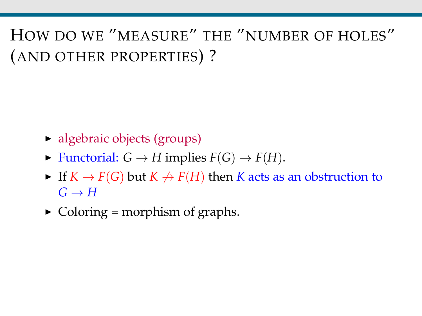HOW DO WE "MEASURE" THE "NUMBER OF HOLES" (AND OTHER PROPERTIES) ?

- $\blacktriangleright$  algebraic objects (groups)
- $\blacktriangleright$  Functorial:  $G \to H$  implies  $F(G) \to F(H)$ .
- If  $K \to F(G)$  but  $K \to F(H)$  then *K* acts as an obstruction to  $G \rightarrow H$
- $\triangleright$  Coloring = morphism of graphs.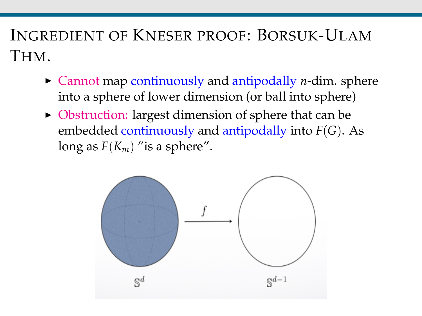# INGREDIENT OF KNESER PROOF: BORSUK-ULAM THM.

- $\triangleright$  Cannot map continuously and antipodally *n*-dim. sphere into a sphere of lower dimension (or ball into sphere)
- $\triangleright$  Obstruction: largest dimension of sphere that can be embedded continuously and antipodally into *F*(*G*). As long as  $F(K_m)$  "is a sphere".

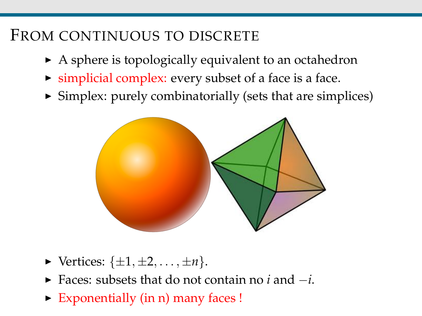## FROM CONTINUOUS TO DISCRETE

- $\triangleright$  A sphere is topologically equivalent to an octahedron
- $\triangleright$  simplicial complex: every subset of a face is a face.
- $\triangleright$  Simplex: purely combinatorially (sets that are simplices)



- $\blacktriangleright$  Vertices:  $\{\pm 1, \pm 2, \ldots, \pm n\}.$
- <sup>I</sup> Faces: subsets that do not contain no *i* and −*i*.
- $\triangleright$  Exponentially (in n) many faces !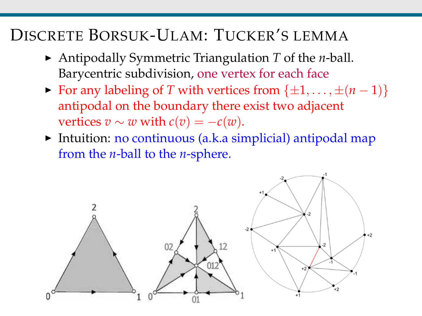## DISCRETE BORSUK-ULAM: TUCKER'S LEMMA

- ▶ Antipodally Symmetric Triangulation <i>T</i> of the <i>n</i>-ball. Barycentric subdivision, one vertex for each face
- $\triangleright$  For any labeling of *T* with vertices from { $\pm 1, \ldots, \pm (n-1)$ } antipodal on the boundary there exist two adjacent vertices  $v \sim w$  with  $c(v) = -c(w)$ .
- $\triangleright$  Intuition: no continuous (a.k.a simplicial) antipodal map from the *n*-ball to the *n*-sphere.

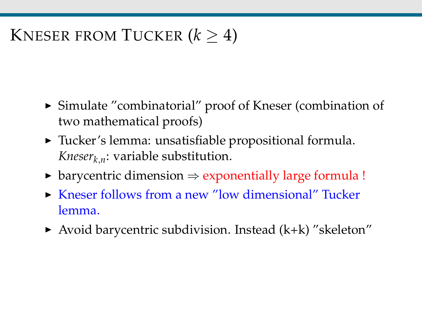# KNESER FROM TUCKER  $(k > 4)$

- $\triangleright$  Simulate "combinatorial" proof of Kneser (combination of two mathematical proofs)
- $\triangleright$  Tucker's lemma: unsatisfiable propositional formula. *Kneserk*,*n*: variable substitution.
- $\triangleright$  barycentric dimension  $\Rightarrow$  exponentially large formula !
- ▶ Kneser follows from a new "low dimensional" Tucker lemma.
- $\triangleright$  Avoid barycentric subdivision. Instead (k+k) "skeleton"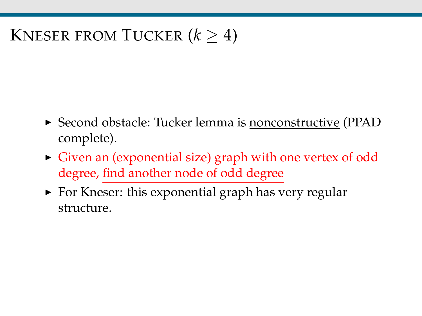# KNESER FROM TUCKER  $(k > 4)$

- ► Second obstacle: Tucker lemma is nonconstructive (PPAD complete).
- $\triangleright$  Given an (exponential size) graph with one vertex of odd degree, find another node of odd degree
- $\triangleright$  For Kneser: this exponential graph has very regular structure.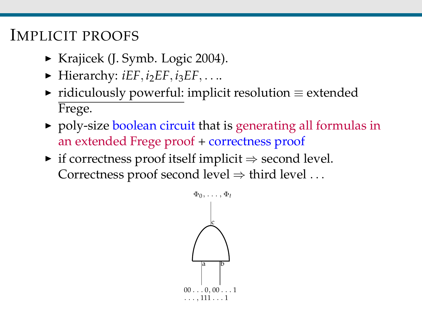### IMPLICIT PROOFS

- ► Krajicek (J. Symb. Logic 2004).
- $\blacktriangleright$  Hierarchy: *iEF*, *i*<sub>2</sub>*EF*, *i*<sub>3</sub>*EF*, . . ..
- $\triangleright$  ridiculously powerful: implicit resolution  $\equiv$  extended Frege.
- poly-size boolean circuit that is generating all formulas in an extended Frege proof + correctness proof
- $\triangleright$  if correctness proof itself implicit  $\Rightarrow$  second level. Correctness proof second level  $\Rightarrow$  third level ...

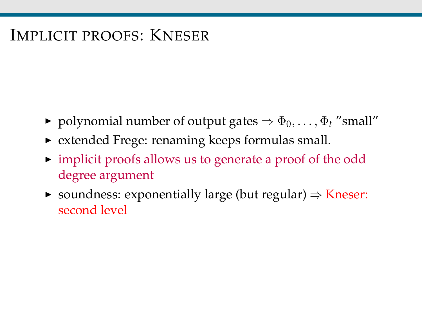## IMPLICIT PROOFS: KNESER

- $\triangleright$  polynomial number of output gates  $\Rightarrow$   $\Phi_0, \ldots, \Phi_t$  "small"
- $\triangleright$  extended Frege: renaming keeps formulas small.
- $\triangleright$  implicit proofs allows us to generate a proof of the odd degree argument
- $\triangleright$  soundness: exponentially large (but regular)  $\Rightarrow$  Kneser: second level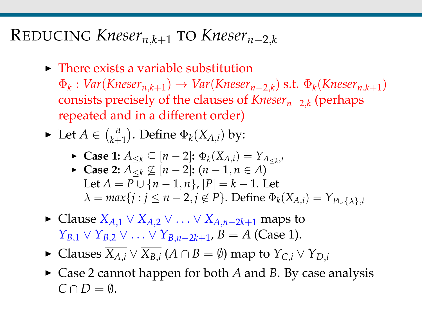## REDUCING *Knesern*,*k*+<sup>1</sup> TO *Knesern*−2,*<sup>k</sup>*

 $\triangleright$  There exists a variable substitution

 $\Phi_k: Var(Kneser_{n,k+1}) \rightarrow Var(Kneser_{n-2,k})$  s.t.  $\Phi_k(Kneser_{n,k+1})$ consists precisely of the clauses of *Knesern*−2,*<sup>k</sup>* (perhaps repeated and in a different order)

► Let  $A \in {n \choose k+1}$  $\binom{n}{k+1}$ . Define  $\Phi_k(X_{A,i})$  by:

\n- \n
$$
\mathsf{Case 1:}\ A_{\leq k} \subseteq [n-2]: \Phi_k(X_{A,i}) = Y_{A_{\leq k},i}
$$
\n
\n- \n $\mathsf{Case 2:}\ A_{\leq k} \not\subseteq [n-2]: (n-1, n \in A)$ \n
\n- \n $\text{Let } A = P \cup \{n-1, n\}, |P| = k-1.$ \n
\n- \n $\lambda = \max\{j : j \leq n-2, j \notin P\}.$ \n
\n- \n $\text{Define } \Phi_k(X_{A,i}) = Y_{P \cup \{\lambda\},i}$ \n
\n

- $\triangleright$  Clause *X*<sub>*A*.1</sub> ∨ *X*<sub>*A*.2</sub> ∨ . . . ∨ *X*<sub>*A*.*n*−2*k*+1</sub> maps to *Y*<sub>*B*</sub>,1</sub> ∨ *Y*<sub>*B*</sub>,2</sub> ∨ . . . ∨ *Y*<sub>*B*,*n*−2*k*+1</sub>, *B* = *A* (Case 1).
- ▶ Clauses  $\overline{X_{A,i}} \vee \overline{X_{B,i}}$   $(A ∩ B = ∅)$  map to  $\overline{Y_{C,i}} ∨ Y_{D,i}$
- $\triangleright$  Case 2 cannot happen for both *A* and *B*. By case analysis  $C \cap D = \emptyset$ .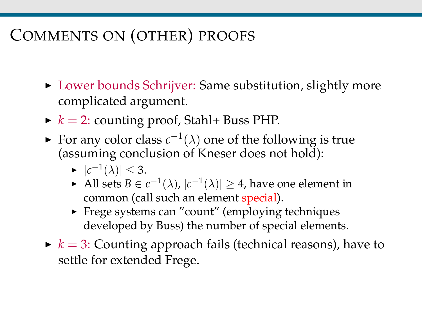# COMMENTS ON (OTHER) PROOFS

- ▶ Lower bounds Schrijver: Same substitution, slightly more complicated argument.
- $\blacktriangleright k = 2$ : counting proof, Stahl+ Buss PHP.
- For any color class  $c^{-1}(\lambda)$  one of the following is true (assuming conclusion of Kneser does not hold):
	- $\blacktriangleright$   $|c^{-1}(\lambda)| \leq 3.$
	- ► All sets  $B \in c^{-1}(\lambda)$ ,  $|c^{-1}(\lambda)| \geq 4$ , have one element in common (call such an element special).
	- $\triangleright$  Frege systems can "count" (employing techniques developed by Buss) the number of special elements.
- $\blacktriangleright$   $k = 3$ : Counting approach fails (technical reasons), have to settle for extended Frege.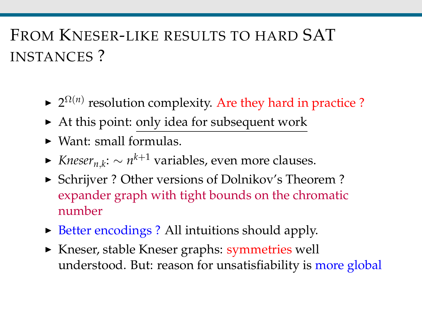# FROM KNESER-LIKE RESULTS TO HARD SAT INSTANCES ?

- $\blacktriangleright$  2<sup> $\Omega(n)$ </sup> resolution complexity. Are they hard in practice ?
- $\triangleright$  At this point: only idea for subsequent work
- $\triangleright$  Want: small formulas.
- <sup>I</sup> *Knesern*,*<sup>k</sup>* : ∼ *n <sup>k</sup>*+<sup>1</sup> variables, even more clauses.
- ▶ Schrijver ? Other versions of Dolnikov's Theorem ? expander graph with tight bounds on the chromatic number
- $\triangleright$  Better encodings ? All intuitions should apply.
- ► Kneser, stable Kneser graphs: symmetries well understood. But: reason for unsatisfiability is more global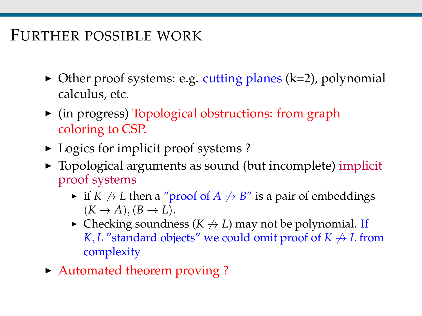## FURTHER POSSIBLE WORK

- $\triangleright$  Other proof systems: e.g. cutting planes (k=2), polynomial calculus, etc.
- $\triangleright$  (in progress) Topological obstructions: from graph coloring to CSP.
- $\triangleright$  Logics for implicit proof systems ?
- $\triangleright$  Topological arguments as sound (but incomplete) implicit proof systems
	- $\triangleright$  if *K*  $\rightarrow$  *L* then a "proof of *A*  $\rightarrow$  *B*" is a pair of embeddings  $(K \rightarrow A), (B \rightarrow L).$
	- $\triangleright$  Checking soundness ( $K \nrightarrow L$ ) may not be polynomial. If *K*, *L* "standard objects" we could omit proof of  $K \nrightarrow L$  from complexity
- Automated theorem proving?